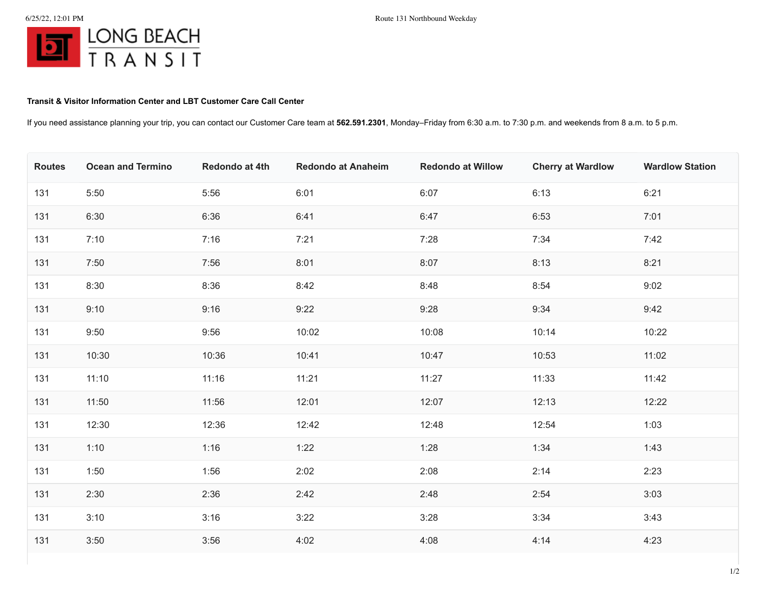## **Transit & Visitor Information Center and LBT Customer Care Call Center**

If you need assistance planning your trip, you can contact our Customer Care team at **562.591.2301**, Monday–Friday from 6:30 a.m. to 7:30 p.m. and weekends from 8 a.m. to 5 p.m.

| <b>Routes</b> | <b>Ocean and Termino</b> | Redondo at 4th | <b>Redondo at Anaheim</b> | <b>Redondo at Willow</b> | <b>Cherry at Wardlow</b> | <b>Wardlow Station</b> |
|---------------|--------------------------|----------------|---------------------------|--------------------------|--------------------------|------------------------|
| 131           | 5:50                     | 5:56           | 6:01                      | 6:07                     | 6:13                     | 6:21                   |
| 131           | 6:30                     | 6:36           | 6:41                      | 6:47                     | 6:53                     | 7:01                   |
| 131           | 7:10                     | 7:16           | 7:21                      | 7:28                     | 7:34                     | 7:42                   |
| 131           | 7:50                     | 7:56           | 8:01                      | 8:07                     | 8:13                     | 8:21                   |
| 131           | 8:30                     | 8:36           | 8:42                      | 8:48                     | 8:54                     | 9:02                   |
| 131           | 9:10                     | 9:16           | 9:22                      | 9:28                     | 9:34                     | 9:42                   |
| 131           | 9:50                     | 9:56           | 10:02                     | 10:08                    | 10:14                    | 10:22                  |
| 131           | 10:30                    | 10:36          | 10:41                     | 10:47                    | 10:53                    | 11:02                  |
| 131           | 11:10                    | 11:16          | 11:21                     | 11:27                    | 11:33                    | 11:42                  |
| 131           | 11:50                    | 11:56          | 12:01                     | 12:07                    | 12:13                    | 12:22                  |
| 131           | 12:30                    | 12:36          | 12:42                     | 12:48                    | 12:54                    | 1:03                   |
| 131           | 1:10                     | 1:16           | 1:22                      | 1:28                     | 1:34                     | 1:43                   |
| 131           | 1:50                     | 1:56           | 2:02                      | 2:08                     | 2:14                     | 2:23                   |
| 131           | 2:30                     | 2:36           | 2:42                      | 2:48                     | 2:54                     | 3:03                   |
| 131           | 3:10                     | 3:16           | 3:22                      | 3:28                     | 3:34                     | 3:43                   |
| 131           | 3:50                     | 3:56           | 4:02                      | 4:08                     | 4:14                     | 4:23                   |